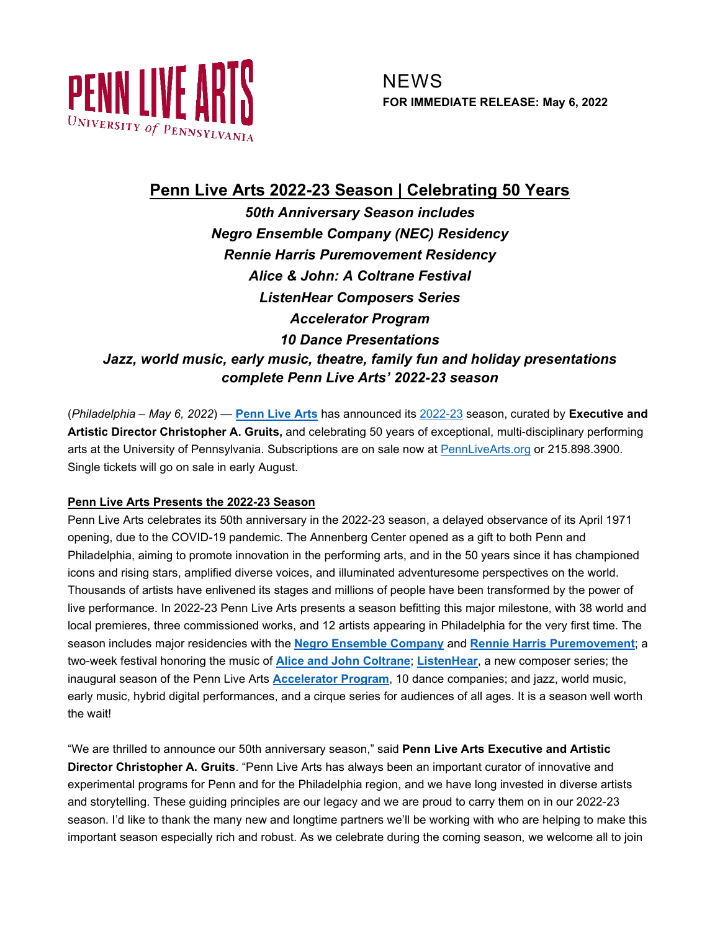

# **Penn Live Arts 2022-23 Season | Celebrating 50 Years**

*50th Anniversary Season includes Negro Ensemble Company (NEC) Residency Rennie Harris Puremovement Residency Alice & John: A Coltrane Festival ListenHear Composers Series Accelerator Program 10 Dance Presentations Jazz, world music, early music, theatre, family fun and holiday presentations complete Penn Live Arts' 2022-23 season*

(*Philadelphia – May 6, 2022*) — **[Penn Live Arts](https://pennlivearts.org/)** has announced its [2022-23](https://pennlivearts.org/events/22-23season.php) season, curated by **Executive and Artistic Director Christopher A. Gruits,** and celebrating 50 years of exceptional, multi-disciplinary performing arts at the University of Pennsylvania. Subscriptions are on sale now at [PennLiveArts.org](https://pennlivearts.org/) or 215.898.3900. Single tickets will go on sale in early August.

## **Penn Live Arts Presents the 2022-23 Season**

Penn Live Arts celebrates its 50th anniversary in the 2022-23 season, a delayed observance of its April 1971 opening, due to the COVID-19 pandemic. The Annenberg Center opened as a gift to both Penn and Philadelphia, aiming to promote innovation in the performing arts, and in the 50 years since it has championed icons and rising stars, amplified diverse voices, and illuminated adventuresome perspectives on the world. Thousands of artists have enlivened its stages and millions of people have been transformed by the power of live performance. In 2022-23 Penn Live Arts presents a season befitting this major milestone, with 38 world and local premieres, three commissioned works, and 12 artists appearing in Philadelphia for the very first time. The season includes major residencies with the **[Negro Ensemble Company](https://pennlivearts.org/events/artistinresidence.php)** and **[Rennie Harris Puremovement](https://pennlivearts.org/events/artistinresidence.php)**; a two-week festival honoring the music of **[Alice and John Coltrane](https://pennlivearts.org/events/coltrane.php)**; **[ListenHear](https://pennlivearts.org/events/listenhear.php)**, a new composer series; the inaugural season of the Penn Live Arts **[Accelerator Program](https://pennlivearts.org/events/accelerator.php)**, 10 dance companies; and jazz, world music, early music, hybrid digital performances, and a cirque series for audiences of all ages. It is a season well worth the wait!

"We are thrilled to announce our 50th anniversary season," said **Penn Live Arts Executive and Artistic Director Christopher A. Gruits**. "Penn Live Arts has always been an important curator of innovative and experimental programs for Penn and for the Philadelphia region, and we have long invested in diverse artists and storytelling. These guiding principles are our legacy and we are proud to carry them on in our 2022-23 season. I'd like to thank the many new and longtime partners we'll be working with who are helping to make this important season especially rich and robust. As we celebrate during the coming season, we welcome all to join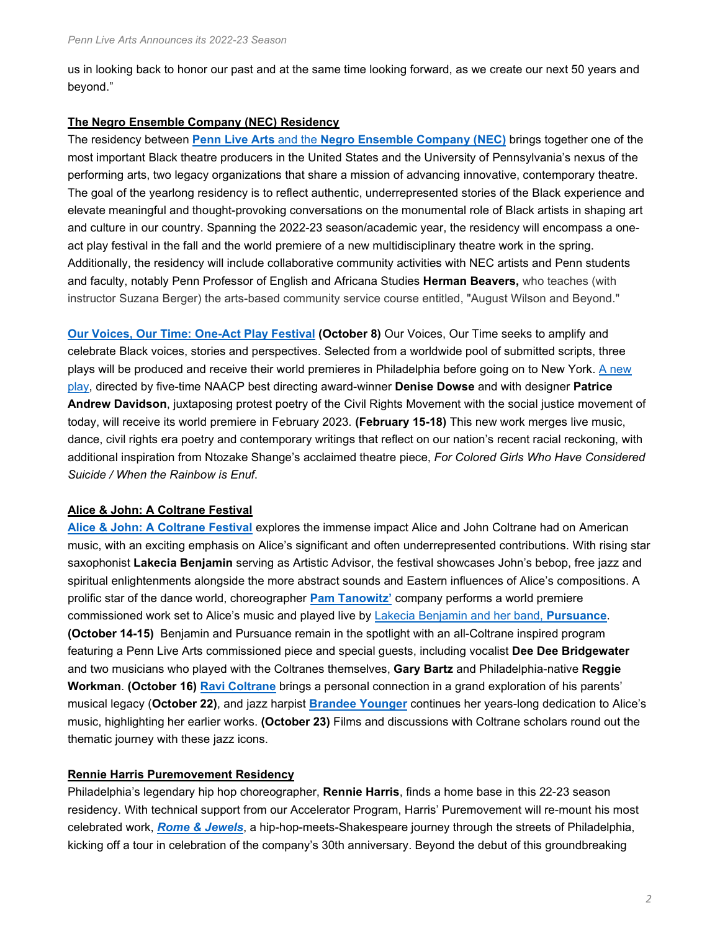us in looking back to honor our past and at the same time looking forward, as we create our next 50 years and beyond."

### **The Negro Ensemble Company (NEC) Residency**

The residency between **Penn Live Arts** and the **[Negro Ensemble Company \(NEC\)](https://pennlivearts.org/events/artistinresidence.php)** brings together one of the most important Black theatre producers in the United States and the University of Pennsylvania's nexus of the performing arts, two legacy organizations that share a mission of advancing innovative, contemporary theatre. The goal of the yearlong residency is to reflect authentic, underrepresented stories of the Black experience and elevate meaningful and thought-provoking conversations on the monumental role of Black artists in shaping art and culture in our country. Spanning the 2022-23 season/academic year, the residency will encompass a oneact play festival in the fall and the world premiere of a new multidisciplinary theatre work in the spring. Additionally, the residency will include collaborative community activities with NEC artists and Penn students and faculty, notably Penn Professor of English and Africana Studies **Herman Beavers,** who teaches (with instructor Suzana Berger) the arts-based community service course entitled, "August Wilson and Beyond."

**[Our Voices, Our Time: One-Act Play Festival](https://pennlivearts.org/event/negro-ensemble-company) (October 8)** Our Voices, Our Time seeks to amplify and celebrate Black voices, stories and perspectives. Selected from a worldwide pool of submitted scripts, three plays will be produced and receive their world premieres in Philadelphia before going on to New York. [A new](https://pennlivearts.org/event/nec)  [play,](https://pennlivearts.org/event/nec) directed by five-time NAACP best directing award-winner **Denise Dowse** and with designer **Patrice Andrew Davidson**, juxtaposing protest poetry of the Civil Rights Movement with the social justice movement of today, will receive its world premiere in February 2023. **(February 15-18)** This new work merges live music, dance, civil rights era poetry and contemporary writings that reflect on our nation's recent racial reckoning, with additional inspiration from Ntozake Shange's acclaimed theatre piece, *For Colored Girls Who Have Considered Suicide / When the Rainbow is Enuf*.

#### **Alice & John: A Coltrane Festival**

**Alice & John: A [Coltrane Festival](https://pennlivearts.org/events/coltrane.php)** explores the immense impact Alice and John Coltrane had on American music, with an exciting emphasis on Alice's significant and often underrepresented contributions. With rising star saxophonist **Lakecia Benjamin** serving as Artistic Advisor, the festival showcases John's bebop, free jazz and spiritual enlightenments alongside the more abstract sounds and Eastern influences of Alice's compositions. A prolific star of the dance world, choreographer **[Pam Tanowitz'](https://pennlivearts.org/event/pam-tanowitz-dance-1092)** company performs a world premiere commissioned work set to Alice's music and played live by [Lakecia Benjamin and her band,](https://pennlivearts.org/event/lakecia-benjamin) **Pursuance**. **(October 14-15)** Benjamin and Pursuance remain in the spotlight with an all-Coltrane inspired program featuring a Penn Live Arts commissioned piece and special guests, including vocalist **Dee Dee Bridgewater** and two musicians who played with the Coltranes themselves, **Gary Bartz** and Philadelphia-native **Reggie Workman**. **(October 16) [Ravi Coltrane](https://pennlivearts.org/event/ravi-coltrane-quintet)** brings a personal connection in a grand exploration of his parents' musical legacy (**October 22)**, and jazz harpist **[Brandee Younger](https://pennlivearts.org/event/brandee-younger)** continues her years-long dedication to Alice's music, highlighting her earlier works. **(October 23)** Films and discussions with Coltrane scholars round out the thematic journey with these jazz icons.

#### **Rennie Harris Puremovement Residency**

Philadelphia's legendary hip hop choreographer, **Rennie Harris**, finds a home base in this 22-23 season residency. With technical support from our Accelerator Program, Harris' Puremovement will re-mount his most celebrated work, *[Rome & Jewels](https://pennlivearts.org/event/rennie-harris-puremovement-1102)*, a hip-hop-meets-Shakespeare journey through the streets of Philadelphia, kicking off a tour in celebration of the company's 30th anniversary. Beyond the debut of this groundbreaking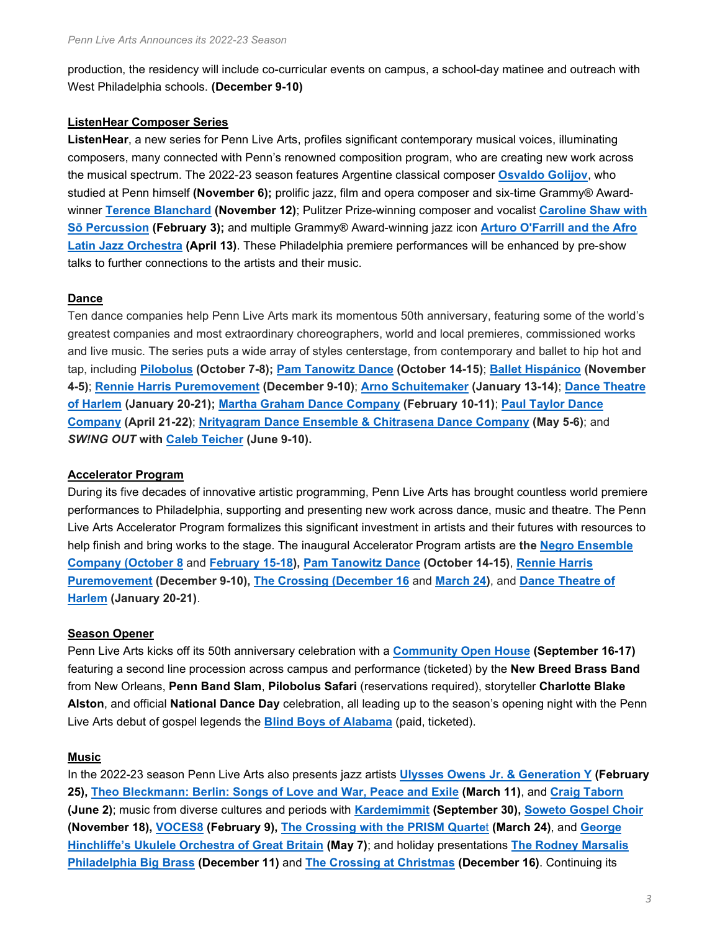production, the residency will include co-curricular events on campus, a school-day matinee and outreach with West Philadelphia schools. **(December 9-10)**

### **ListenHear Composer Series**

**ListenHear**, a new series for Penn Live Arts, profiles significant contemporary musical voices, illuminating composers, many connected with Penn's renowned composition program, who are creating new work across the musical spectrum. The 2022-23 season features Argentine classical composer **[Osvaldo Golijov](https://pennlivearts.org/event/falling-out-of-time)**, who studied at Penn himself **(November 6);** prolific jazz, film and opera composer and six-time Grammy® Awardwinner **[Terence Blanchard](https://pennlivearts.org/event/terence-blanchard-andrew-f-scott) (November 12)**; Pulitzer Prize-winning composer and vocalist **[Caroline Shaw with](https://pennlivearts.org/event/so-percussion-caroline-shaw)  [Sō Percussion](https://pennlivearts.org/event/so-percussion-caroline-shaw) (February 3);** and multiple Grammy® Award-winning jazz icon **[Arturo O'Farrill and the Afro](https://pennlivearts.org/event/arturo-ofarrill)  [Latin Jazz Orchestra](https://pennlivearts.org/event/arturo-ofarrill) (April 13)**. These Philadelphia premiere performances will be enhanced by pre-show talks to further connections to the artists and their music.

### **Dance**

Ten dance companies help Penn Live Arts mark its momentous 50th anniversary, featuring some of the world's greatest companies and most extraordinary choreographers, world and local premieres, commissioned works and live music. The series puts a wide array of styles centerstage, from contemporary and ballet to hip hot and tap, including **[Pilobolus](https://pennlivearts.org/event/pilobolus-2022) (October 7-8); [Pam Tanowitz Dance](https://pennlivearts.org/event/pam-tanowitz-dance-1092) (October 14-15)**; **[Ballet Hispánico](https://pennlivearts.org/event/ballet-hispanico-1098) (November 4-5)**; **[Rennie Harris Puremovement](https://pennlivearts.org/event/rennie-harris-puremovement-1102) (December 9-10)**; **[Arno Schuitemaker](https://pennlivearts.org/event/arno-schuitemaker-1106) (January 13-14)**; **[Dance Theatre](https://pennlivearts.org/event/dance-theatre-of-harlem-2022)  [of Harlem](https://pennlivearts.org/event/dance-theatre-of-harlem-2022) (January 20-21); [Martha Graham Dance Company](https://pennlivearts.org/event/martha-graham-dance-company-1112) (February 10-11)**; **[Paul Taylor Dance](https://pennlivearts.org/event/paul-taylor-dance-company-1121)  [Company](https://pennlivearts.org/event/paul-taylor-dance-company-1121) (April 21-22)**; **[Nrityagram Dance Ensemble & Chitrasena Dance Company](https://pennlivearts.org/event/nrityagram-and-chitrasena) (May 5-6)**; and *SW!NG OUT* **with [Caleb Teicher](https://pennlivearts.org/event/swng-out) (June 9-10).**

#### **Accelerator Program**

During its five decades of innovative artistic programming, Penn Live Arts has brought countless world premiere performances to Philadelphia, supporting and presenting new work across dance, music and theatre. The Penn Live Arts Accelerator Program formalizes this significant investment in artists and their futures with resources to help finish and bring works to the stage. The inaugural Accelerator Program artists are **the [Negro Ensemble](https://pennlivearts.org/event/negro-ensemble-company)  [Company \(October 8](https://pennlivearts.org/event/negro-ensemble-company)** and **[February 15-18\)](https://pennlivearts.org/event/nec), [Pam Tanowitz Dance](https://pennlivearts.org/event/pam-tanowitz-dance-1092) (October 14-15)**, **[Rennie Harris](https://pennlivearts.org/event/rennie-harris-puremovement-1102)  [Puremovement](https://pennlivearts.org/event/rennie-harris-puremovement-1102) (December 9-10), [The Crossing \(December 16](https://pennlivearts.org/event/crossing-christmas-2022)** and **[March 24\)](https://pennlivearts.org/event/the-crossing-2023)**, and **[Dance Theatre of](https://pennlivearts.org/event/dance-theatre-of-harlem-2022)  [Harlem](https://pennlivearts.org/event/dance-theatre-of-harlem-2022) (January 20-21)**.

#### **Season Opener**

Penn Live Arts kicks off its 50th anniversary celebration with a **[Community Open House](https://pennlivearts.org/events/openhouse.php) (September 16-17)**  featuring a second line procession across campus and performance (ticketed) by the **New Breed Brass Band** from New Orleans, **Penn Band Slam**, **Pilobolus Safari** (reservations required), storyteller **Charlotte Blake Alston**, and official **National Dance Day** celebration, all leading up to the season's opening night with the Penn Live Arts debut of gospel legends the **[Blind Boys of Alabama](https://pennlivearts.org/event/blind-boys-of-alabama)** (paid, ticketed).

#### **Music**

In the 2022-23 season Penn Live Arts also presents jazz artists **[Ulysses Owens Jr. &](https://pennlivearts.org/event/ulysses-owens-jr) Generation Y (February 25), [Theo Bleckmann: Berlin: Songs of Love and War, Peace and Exile](https://pennlivearts.org/event/theo-bleckmann) (March 11)**, and **[Craig Taborn](https://pennlivearts.org/event/craig-taborn) (June 2)**; music from diverse cultures and periods with **[Kardemimmit](https://pennlivearts.org/event/kardemimmit) (September 30), [Soweto Gospel Choir](https://pennlivearts.org/event/soweto-gospel-choir) (November 18), [VOCES8](https://pennlivearts.org/event/voces8) (February 9), The Crossing [with the PRISM Quarte](https://pennlivearts.org/event/the-crossing-2023)**t **(March 24)**, and **[George](https://pennlivearts.org/event/george-hinchliffes-ukulele-orchestra-of-great-britain)  Hinchliffe's [Ukulele Orchestra of Great Britain](https://pennlivearts.org/event/george-hinchliffes-ukulele-orchestra-of-great-britain) (May 7)**; and holiday presentations **[The Rodney Marsalis](https://pennlivearts.org/event/rodney-marsalis-phila-big-brass)  [Philadelphia Big Brass](https://pennlivearts.org/event/rodney-marsalis-phila-big-brass) (December 11)** and **[The Crossing at Christmas](https://pennlivearts.org/event/crossing-christmas-2022) (December 16)**. Continuing its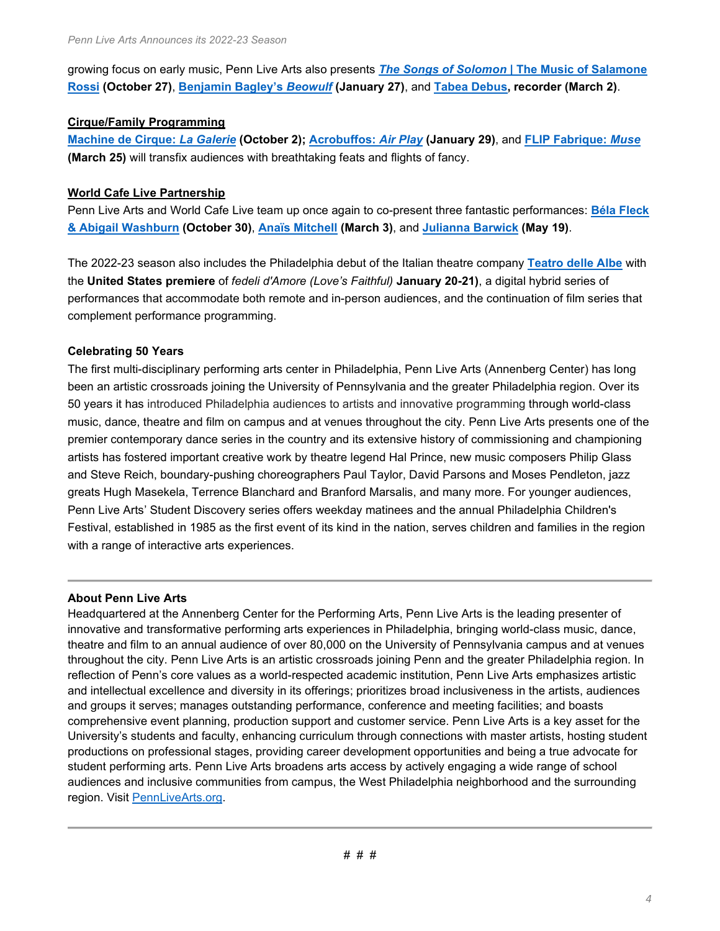growing focus on early music, Penn Live Arts also presents *The Songs of Solomon* **[| The Music of Salamone](https://pennlivearts.org/event/the-songs-of-solomon)  [Rossi](https://pennlivearts.org/event/the-songs-of-solomon) (October 27)**, **[Benjamin Bagley's](https://pennlivearts.org/event/benjamin-bagby-beowulf)** *Beowulf* **(January 27)**, and **[Tabea Debus,](https://pennlivearts.org/event/tabea-debus) recorder (March 2)**.

## **Cirque/Family Programming**

**[Machine de Cirque:](https://pennlivearts.org/event/machine-de-cirque)** *La Galerie* **(October 2); [Acrobuffos:](https://pennlivearts.org/event/acrobuffos)** *Air Play* **(January 29)**, and **FLIP [Fabrique:](https://pennlivearts.org/event/flip-fabrique)** *Muse* **(March 25)** will transfix audiences with breathtaking feats and flights of fancy.

# **World Cafe Live Partnership**

Penn Live Arts and World Cafe Live team up once again to co-present three fantastic performances: **[Béla Fleck](https://pennlivearts.org/event/bela-fleck-abigail-washburn)  [& Abigail Washburn](https://pennlivearts.org/event/bela-fleck-abigail-washburn) (October 30)**, **[Anaïs Mitchell](https://pennlivearts.org/event/anais-mitchell) (March 3)**, and **[Julianna Barwick](https://pennlivearts.org/event/julianna-barwick) (May 19)**.

The 2022-23 season also includes the Philadelphia debut of the Italian theatre company **[Teatro delle Albe](https://pennlivearts.org/event/teatro-delle-albe-1055)** with the **United States premiere** of *fedeli d'Amore (Love's Faithful)* **January 20-21)**, a digital hybrid series of performances that accommodate both remote and in-person audiences, and the continuation of film series that complement performance programming.

# **Celebrating 50 Years**

The first multi-disciplinary performing arts center in Philadelphia, Penn Live Arts (Annenberg Center) has long been an artistic crossroads joining the University of Pennsylvania and the greater Philadelphia region. Over its 50 years it has introduced Philadelphia audiences to artists and innovative programming through world-class music, dance, theatre and film on campus and at venues throughout the city. Penn Live Arts presents one of the premier contemporary dance series in the country and its extensive history of commissioning and championing artists has fostered important creative work by theatre legend Hal Prince, new music composers Philip Glass and Steve Reich, boundary-pushing choreographers Paul Taylor, David Parsons and Moses Pendleton, jazz greats Hugh Masekela, Terrence Blanchard and Branford Marsalis, and many more. For younger audiences, Penn Live Arts' Student Discovery series offers weekday matinees and the annual Philadelphia Children's Festival, established in 1985 as the first event of its kind in the nation, serves children and families in the region with a range of interactive arts experiences.

## **About Penn Live Arts**

Headquartered at the Annenberg Center for the Performing Arts, Penn Live Arts is the leading presenter of innovative and transformative performing arts experiences in Philadelphia, bringing world-class music, dance, theatre and film to an annual audience of over 80,000 on the University of Pennsylvania campus and at venues throughout the city. Penn Live Arts is an artistic crossroads joining Penn and the greater Philadelphia region. In reflection of Penn's core values as a world-respected academic institution, Penn Live Arts emphasizes artistic and intellectual excellence and diversity in its offerings; prioritizes broad inclusiveness in the artists, audiences and groups it serves; manages outstanding performance, conference and meeting facilities; and boasts comprehensive event planning, production support and customer service. Penn Live Arts is a key asset for the University's students and faculty, enhancing curriculum through connections with master artists, hosting student productions on professional stages, providing career development opportunities and being a true advocate for student performing arts. Penn Live Arts broadens arts access by actively engaging a wide range of school audiences and inclusive communities from campus, the West Philadelphia neighborhood and the surrounding region. Visit [PennLiveArts.org.](https://pennlivearts.org/)